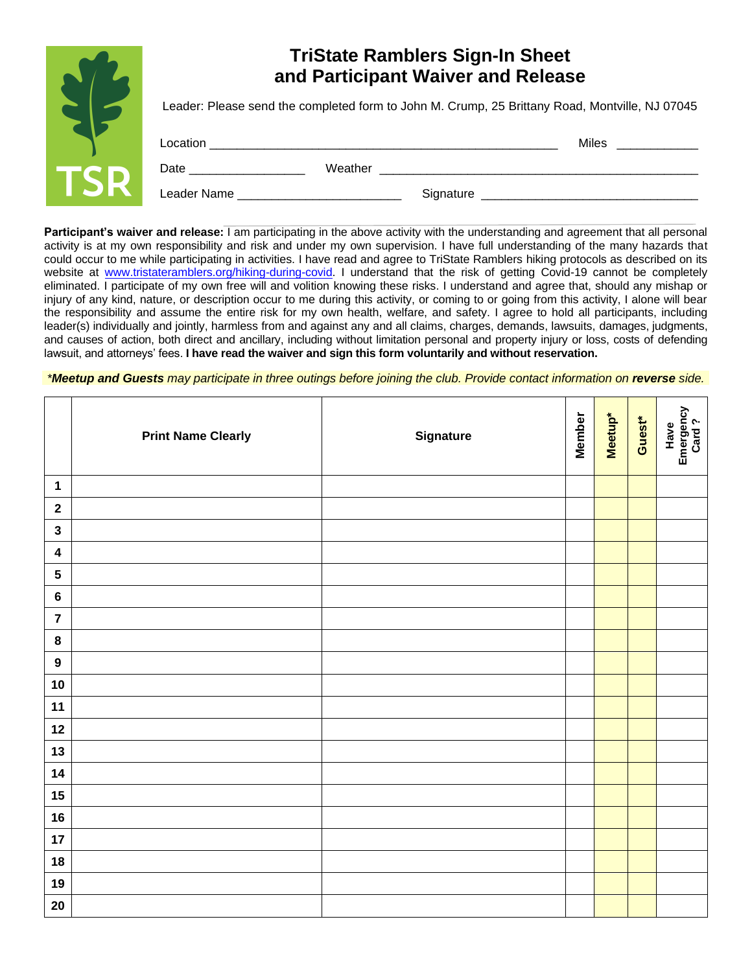|     | <b>TriState Ramblers Sign-In Sheet</b><br>and Participant Waiver and Release                                                                                                                                                   |         |           |                          |  |
|-----|--------------------------------------------------------------------------------------------------------------------------------------------------------------------------------------------------------------------------------|---------|-----------|--------------------------|--|
|     | Leader: Please send the completed form to John M. Crump, 25 Brittany Road, Montville, NJ 07045                                                                                                                                 |         |           |                          |  |
|     |                                                                                                                                                                                                                                |         |           | Miles <b>Miles Miles</b> |  |
| TSR | Date and the contract of the contract of the contract of the contract of the contract of the contract of the contract of the contract of the contract of the contract of the contract of the contract of the contract of the c | Weather |           |                          |  |
|     | Leader Name <b>Contract Contract Contract Contract Contract Contract Contract Contract Contract Contract Contract</b>                                                                                                          |         | Signature |                          |  |

**Participant's waiver and release:** I am participating in the above activity with the understanding and agreement that all personal activity is at my own responsibility and risk and under my own supervision. I have full understanding of the many hazards that could occur to me while participating in activities. I have read and agree to TriState Ramblers hiking protocols as described on its website at [www.tristateramblers.org/hiking-during-covid.](http://www.tristateramblers.org/hiking-during-covid) I understand that the risk of getting Covid-19 cannot be completely eliminated. I participate of my own free will and volition knowing these risks. I understand and agree that, should any mishap or injury of any kind, nature, or description occur to me during this activity, or coming to or going from this activity, I alone will bear the responsibility and assume the entire risk for my own health, welfare, and safety. I agree to hold all participants, including leader(s) individually and jointly, harmless from and against any and all claims, charges, demands, lawsuits, damages, judgments, and causes of action, both direct and ancillary, including without limitation personal and property injury or loss, costs of defending lawsuit, and attorneys' fees. **I have read the waiver and sign this form voluntarily and without reservation.**

*\*Meetup and Guests may participate in three outings before joining the club. Provide contact information on reverse side.*

|                         | <b>Print Name Clearly</b> | Signature | <b>Member</b> | Meetup* | Guest* | Have<br>Emergency<br>Card ? |
|-------------------------|---------------------------|-----------|---------------|---------|--------|-----------------------------|
| $\mathbf 1$             |                           |           |               |         |        |                             |
| $\mathbf 2$             |                           |           |               |         |        |                             |
| $\mathbf{3}$            |                           |           |               |         |        |                             |
| $\overline{\mathbf{4}}$ |                           |           |               |         |        |                             |
| $\overline{\mathbf{5}}$ |                           |           |               |         |        |                             |
| $\bf 6$                 |                           |           |               |         |        |                             |
| $\overline{7}$          |                           |           |               |         |        |                             |
| $\pmb{8}$               |                           |           |               |         |        |                             |
| $\boldsymbol{9}$        |                           |           |               |         |        |                             |
| $10$                    |                           |           |               |         |        |                             |
| 11                      |                           |           |               |         |        |                             |
| 12                      |                           |           |               |         |        |                             |
| 13                      |                           |           |               |         |        |                             |
| 14                      |                           |           |               |         |        |                             |
| 15                      |                           |           |               |         |        |                             |
| 16                      |                           |           |               |         |        |                             |
| 17                      |                           |           |               |         |        |                             |
| $18$                    |                           |           |               |         |        |                             |
| 19                      |                           |           |               |         |        |                             |
| 20                      |                           |           |               |         |        |                             |